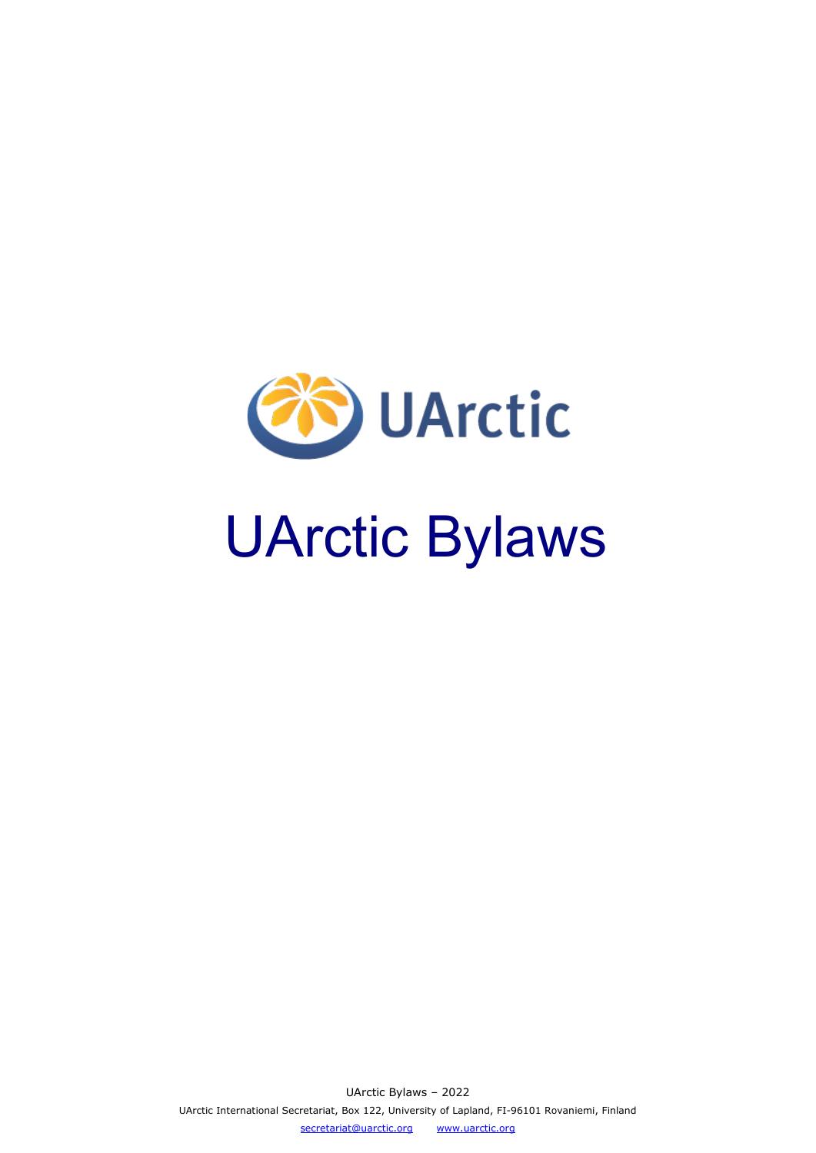

# UArctic Bylaws

UArctic Bylaws – 2022 UArctic International Secretariat, Box 122, University of Lapland, FI-96101 Rovaniemi, Finland [secretariat@uarctic.org](mailto:secretariat@uarctic.org) [www.uarctic.org](http://www.uarctic.org/)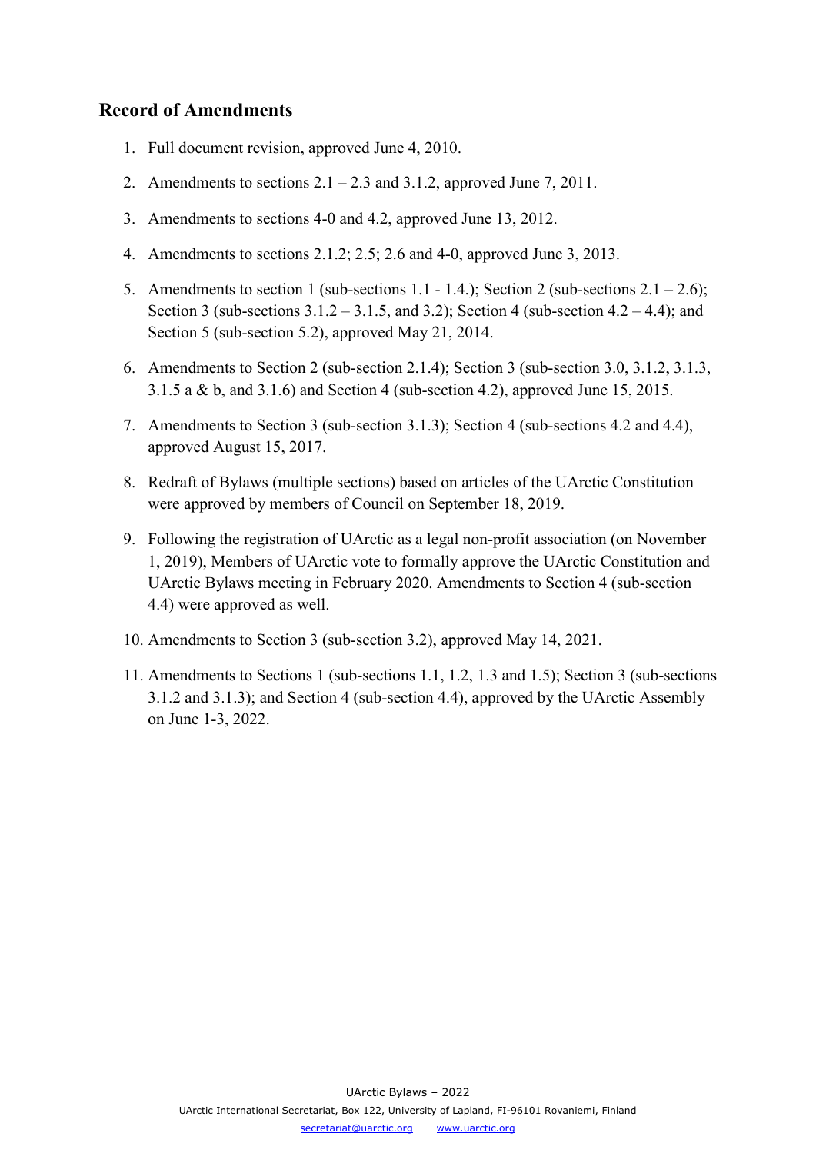# **Record of Amendments**

- 1. Full document revision, approved June 4, 2010.
- 2. Amendments to sections  $2.1 2.3$  and  $3.1.2$ , approved June 7, 2011.
- 3. Amendments to sections 4-0 and 4.2, approved June 13, 2012.
- 4. Amendments to sections 2.1.2; 2.5; 2.6 and 4-0, approved June 3, 2013.
- 5. Amendments to section 1 (sub-sections 1.1 1.4.); Section 2 (sub-sections  $2.1 2.6$ ); Section 3 (sub-sections  $3.1.2 - 3.1.5$ , and  $3.2$ ); Section 4 (sub-section  $4.2 - 4.4$ ); and Section 5 (sub-section 5.2), approved May 21, 2014.
- 6. Amendments to Section 2 (sub-section 2.1.4); Section 3 (sub-section 3.0, 3.1.2, 3.1.3, 3.1.5 a & b, and 3.1.6) and Section 4 (sub-section 4.2), approved June 15, 2015.
- 7. Amendments to Section 3 (sub-section 3.1.3); Section 4 (sub-sections 4.2 and 4.4), approved August 15, 2017.
- 8. Redraft of Bylaws (multiple sections) based on articles of the UArctic Constitution were approved by members of Council on September 18, 2019.
- 9. Following the registration of UArctic as a legal non-profit association (on November 1, 2019), Members of UArctic vote to formally approve the UArctic Constitution and UArctic Bylaws meeting in February 2020. Amendments to Section 4 (sub-section 4.4) were approved as well.
- 10. Amendments to Section 3 (sub-section 3.2), approved May 14, 2021.
- 11. Amendments to Sections 1 (sub-sections 1.1, 1.2, 1.3 and 1.5); Section 3 (sub-sections 3.1.2 and 3.1.3); and Section 4 (sub-section 4.4), approved by the UArctic Assembly on June 1-3, 2022.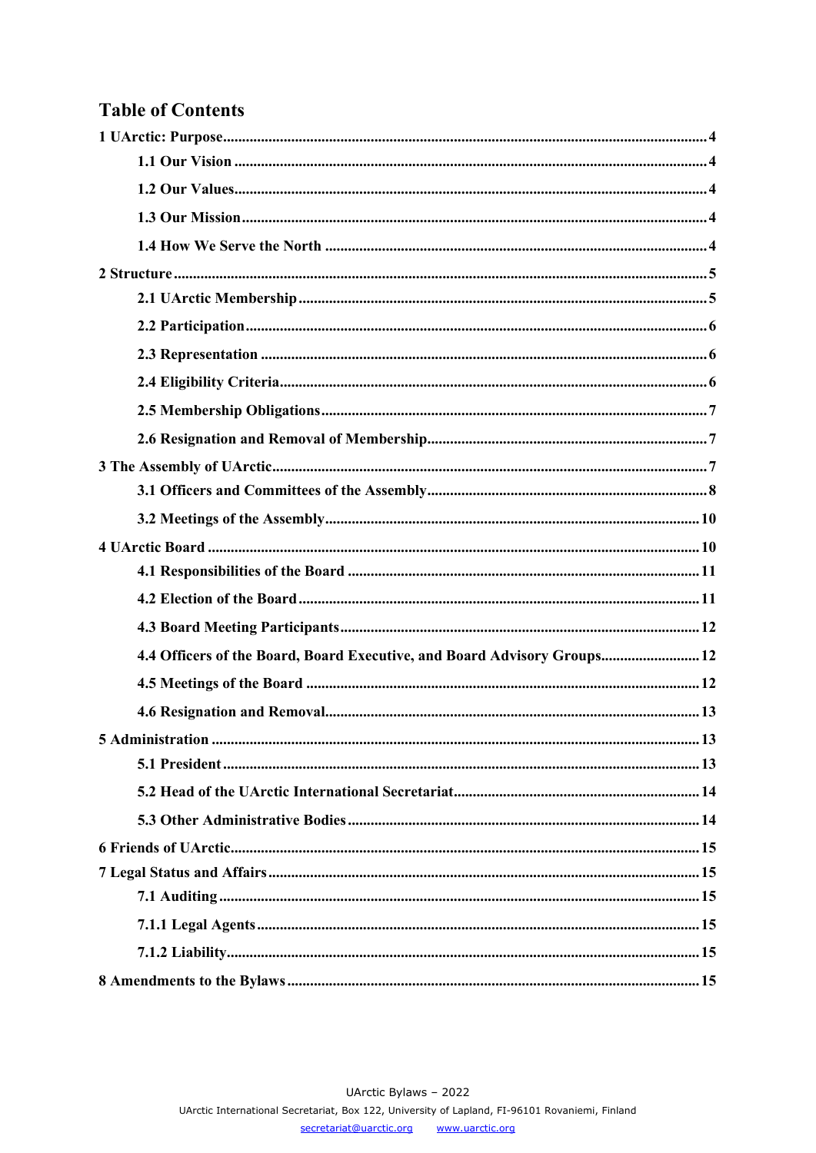# **Table of Contents**

| 4.4 Officers of the Board, Board Executive, and Board Advisory Groups 12 |
|--------------------------------------------------------------------------|
|                                                                          |
|                                                                          |
|                                                                          |
|                                                                          |
|                                                                          |
|                                                                          |
|                                                                          |
|                                                                          |
|                                                                          |
|                                                                          |
|                                                                          |
|                                                                          |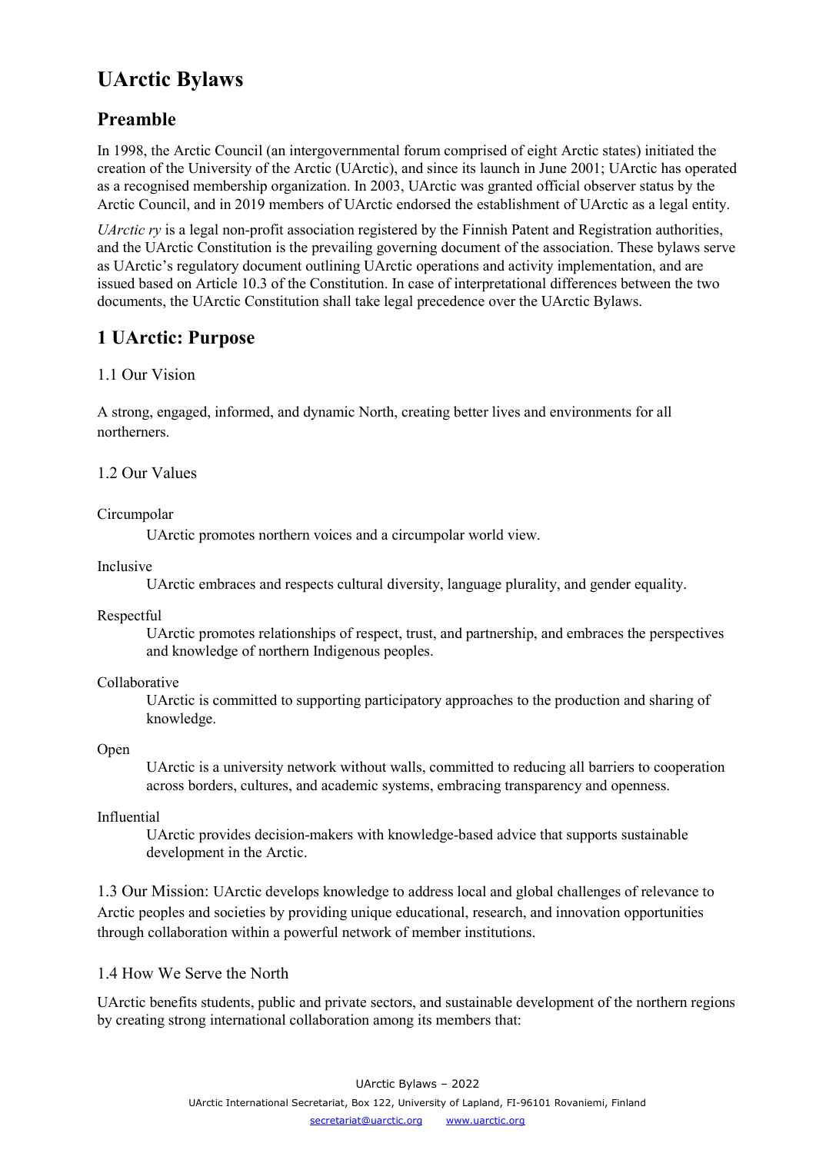# **UArctic Bylaws**

# **Preamble**

In 1998, the Arctic Council (an intergovernmental forum comprised of eight Arctic states) initiated the creation of the University of the Arctic (UArctic), and since its launch in June 2001; UArctic has operated as a recognised membership organization. In 2003, UArctic was granted official observer status by the Arctic Council, and in 2019 members of UArctic endorsed the establishment of UArctic as a legal entity.

*UArctic ry* is a legal non-profit association registered by the Finnish Patent and Registration authorities, and the UArctic Constitution is the prevailing governing document of the association. These bylaws serve as UArctic's regulatory document outlining UArctic operations and activity implementation, and are issued based on Article 10.3 of the Constitution. In case of interpretational differences between the two documents, the UArctic Constitution shall take legal precedence over the UArctic Bylaws.

# <span id="page-3-0"></span>**1 UArctic: Purpose**

# <span id="page-3-1"></span>1.1 Our Vision

A strong, engaged, informed, and dynamic North, creating better lives and environments for all northerners.

<span id="page-3-2"></span>1.2 Our Values

# Circumpolar

<span id="page-3-3"></span>UArctic promotes northern voices and a circumpolar world view.

# Inclusive

UArctic embraces and respects cultural diversity, language plurality, and gender equality.

Respectful

UArctic promotes relationships of respect, trust, and partnership, and embraces the perspectives and knowledge of northern Indigenous peoples.

# Collaborative

UArctic is committed to supporting participatory approaches to the production and sharing of knowledge.

# Open

UArctic is a university network without walls, committed to reducing all barriers to cooperation across borders, cultures, and academic systems, embracing transparency and openness.

# Influential

<span id="page-3-4"></span>UArctic provides decision-makers with knowledge-based advice that supports sustainable development in the Arctic.

1.3 Our Mission: UArctic develops knowledge to address local and global challenges of relevance to Arctic peoples and societies by providing unique educational, research, and innovation opportunities through collaboration within a powerful network of member institutions.

# 1.4 How We Serve the North

UArctic benefits students, public and private sectors, and sustainable development of the northern regions by creating strong international collaboration among its members that:

> UArctic Bylaws – 2022 UArctic International Secretariat, Box 122, University of Lapland, FI-96101 Rovaniemi, Finland [secretariat@uarctic.org](mailto:secretariat@uarctic.org) [www.uarctic.org](http://www.uarctic.org/)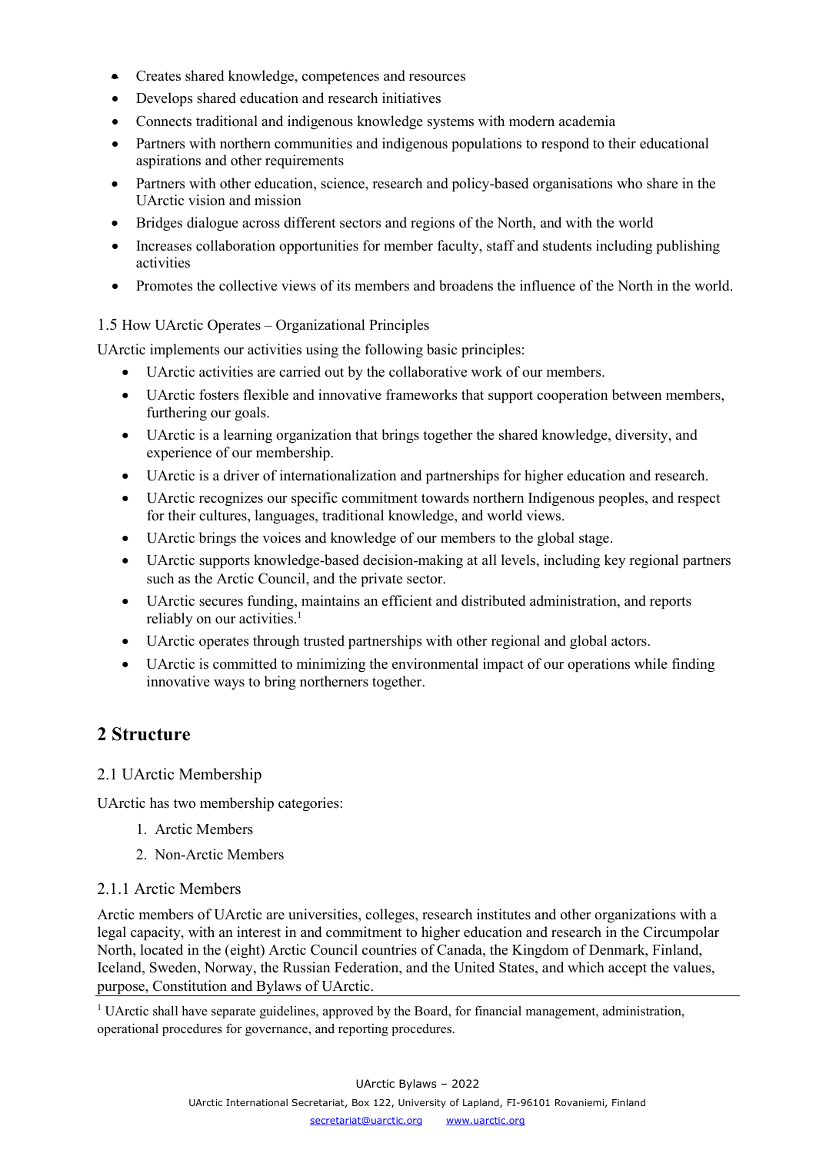- Creates shared knowledge, competences and resources
- Develops shared education and research initiatives
- Connects traditional and indigenous knowledge systems with modern academia
- Partners with northern communities and indigenous populations to respond to their educational aspirations and other requirements
- Partners with other education, science, research and policy-based organisations who share in the UArctic vision and mission
- Bridges dialogue across different sectors and regions of the North, and with the world
- Increases collaboration opportunities for member faculty, staff and students including publishing activities
- Promotes the collective views of its members and broadens the influence of the North in the world.

#### 1.5 How UArctic Operates – Organizational Principles

UArctic implements our activities using the following basic principles:

- UArctic activities are carried out by the collaborative work of our members.
- UArctic fosters flexible and innovative frameworks that support cooperation between members, furthering our goals.
- UArctic is a learning organization that brings together the shared knowledge, diversity, and experience of our membership.
- UArctic is a driver of internationalization and partnerships for higher education and research.
- UArctic recognizes our specific commitment towards northern Indigenous peoples, and respect for their cultures, languages, traditional knowledge, and world views.
- UArctic brings the voices and knowledge of our members to the global stage.
- UArctic supports knowledge-based decision-making at all levels, including key regional partners such as the Arctic Council, and the private sector.
- UArctic secures funding, maintains an efficient and distributed administration, and reports reliably on our activities.<sup>1</sup>
- UArctic operates through trusted partnerships with other regional and global actors.
- UArctic is committed to minimizing the environmental impact of our operations while finding innovative ways to bring northerners together.

# <span id="page-4-0"></span>**2 Structure**

# <span id="page-4-1"></span>2.1 UArctic Membership

UArctic has two membership categories:

- 1. Arctic Members
- 2. Non-Arctic Members

# 2.1.1 Arctic Members

Arctic members of UArctic are universities, colleges, research institutes and other organizations with a legal capacity, with an interest in and commitment to higher education and research in the Circumpolar North, located in the (eight) Arctic Council countries of Canada, the Kingdom of Denmark, Finland, Iceland, Sweden, Norway, the Russian Federation, and the United States, and which accept the values, purpose, Constitution and Bylaws of UArctic.

<sup>1</sup> UArctic shall have separate guidelines, approved by the Board, for financial management, administration, operational procedures for governance, and reporting procedures.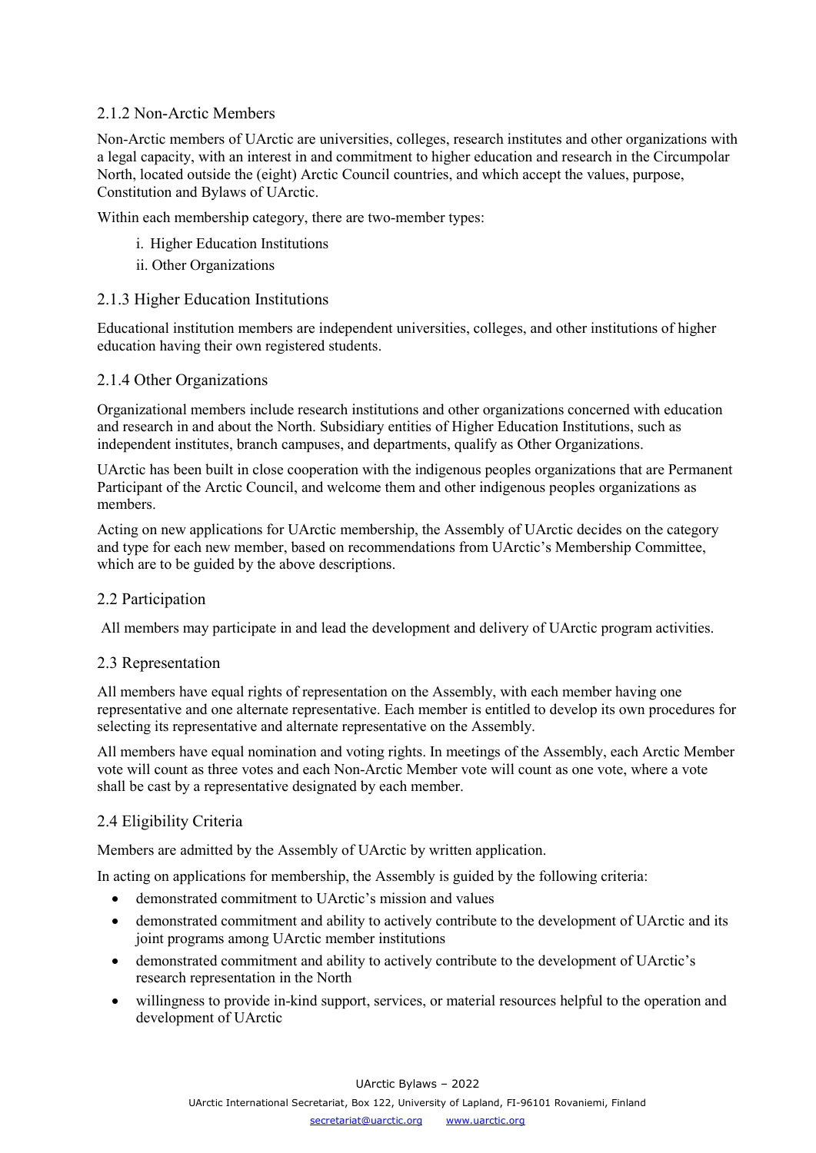# 2.1.2 Non-Arctic Members

Non-Arctic members of UArctic are universities, colleges, research institutes and other organizations with a legal capacity, with an interest in and commitment to higher education and research in the Circumpolar North, located outside the (eight) Arctic Council countries, and which accept the values, purpose, Constitution and Bylaws of UArctic.

Within each membership category, there are two-member types:

- i. Higher Education Institutions
- ii. Other Organizations

# 2.1.3 Higher Education Institutions

Educational institution members are independent universities, colleges, and other institutions of higher education having their own registered students.

# 2.1.4 Other Organizations

Organizational members include research institutions and other organizations concerned with education and research in and about the North. Subsidiary entities of Higher Education Institutions, such as independent institutes, branch campuses, and departments, qualify as Other Organizations.

UArctic has been built in close cooperation with the indigenous peoples organizations that are Permanent Participant of the Arctic Council, and welcome them and other indigenous peoples organizations as members.

Acting on new applications for UArctic membership, the Assembly of UArctic decides on the category and type for each new member, based on recommendations from UArctic's Membership Committee, which are to be guided by the above descriptions.

# <span id="page-5-0"></span>2.2 Participation

<span id="page-5-1"></span>All members may participate in and lead the development and delivery of UArctic program activities.

# 2.3 Representation

All members have equal rights of representation on the Assembly, with each member having one representative and one alternate representative. Each member is entitled to develop its own procedures for selecting its representative and alternate representative on the Assembly.

All members have equal nomination and voting rights. In meetings of the Assembly, each Arctic Member vote will count as three votes and each Non-Arctic Member vote will count as one vote, where a vote shall be cast by a representative designated by each member.

# <span id="page-5-2"></span>2.4 Eligibility Criteria

Members are admitted by the Assembly of UArctic by written application.

In acting on applications for membership, the Assembly is guided by the following criteria:

- demonstrated commitment to UArctic's mission and values
- demonstrated commitment and ability to actively contribute to the development of UArctic and its joint programs among UArctic member institutions
- demonstrated commitment and ability to actively contribute to the development of UArctic's research representation in the North
- willingness to provide in-kind support, services, or material resources helpful to the operation and development of UArctic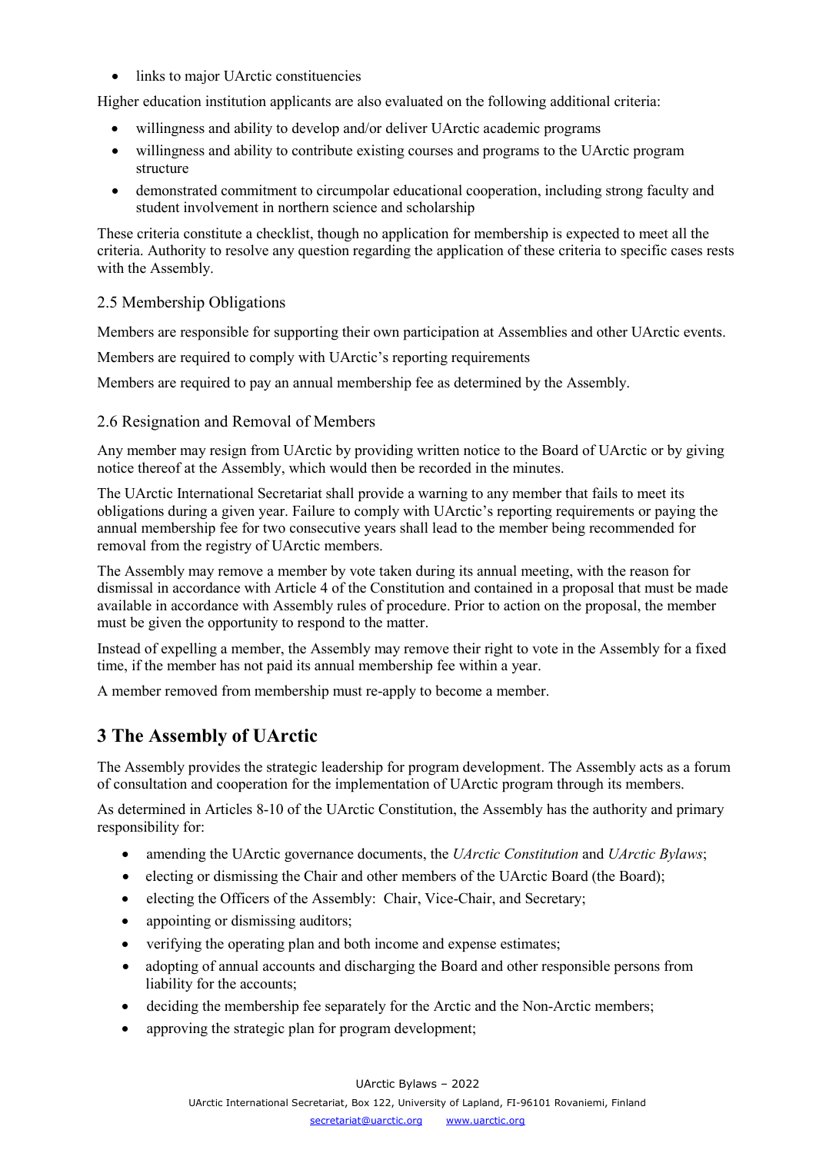• links to major UArctic constituencies

Higher education institution applicants are also evaluated on the following additional criteria:

- willingness and ability to develop and/or deliver UArctic academic programs
- willingness and ability to contribute existing courses and programs to the UArctic program structure
- demonstrated commitment to circumpolar educational cooperation, including strong faculty and student involvement in northern science and scholarship

These criteria constitute a checklist, though no application for membership is expected to meet all the criteria. Authority to resolve any question regarding the application of these criteria to specific cases rests with the Assembly.

# <span id="page-6-0"></span>2.5 Membership Obligations

Members are responsible for supporting their own participation at Assemblies and other UArctic events.

Members are required to comply with UArctic's reporting requirements

<span id="page-6-1"></span>Members are required to pay an annual membership fee as determined by the Assembly.

#### 2.6 Resignation and Removal of Members

Any member may resign from UArctic by providing written notice to the Board of UArctic or by giving notice thereof at the Assembly, which would then be recorded in the minutes.

The UArctic International Secretariat shall provide a warning to any member that fails to meet its obligations during a given year. Failure to comply with UArctic's reporting requirements or paying the annual membership fee for two consecutive years shall lead to the member being recommended for removal from the registry of UArctic members.

The Assembly may remove a member by vote taken during its annual meeting, with the reason for dismissal in accordance with Article 4 of the Constitution and contained in a proposal that must be made available in accordance with Assembly rules of procedure. Prior to action on the proposal, the member must be given the opportunity to respond to the matter.

Instead of expelling a member, the Assembly may remove their right to vote in the Assembly for a fixed time, if the member has not paid its annual membership fee within a year.

<span id="page-6-2"></span>A member removed from membership must re-apply to become a member.

# **3 The Assembly of UArctic**

The Assembly provides the strategic leadership for program development. The Assembly acts as a forum of consultation and cooperation for the implementation of UArctic program through its members.

As determined in Articles 8-10 of the UArctic Constitution, the Assembly has the authority and primary responsibility for:

- amending the UArctic governance documents, the *UArctic Constitution* and *UArctic Bylaws*;
- electing or dismissing the Chair and other members of the UArctic Board (the Board);
- electing the Officers of the Assembly: Chair, Vice-Chair, and Secretary;
- appointing or dismissing auditors;
- verifying the operating plan and both income and expense estimates;
- adopting of annual accounts and discharging the Board and other responsible persons from liability for the accounts;
- deciding the membership fee separately for the Arctic and the Non-Arctic members;
- approving the strategic plan for program development;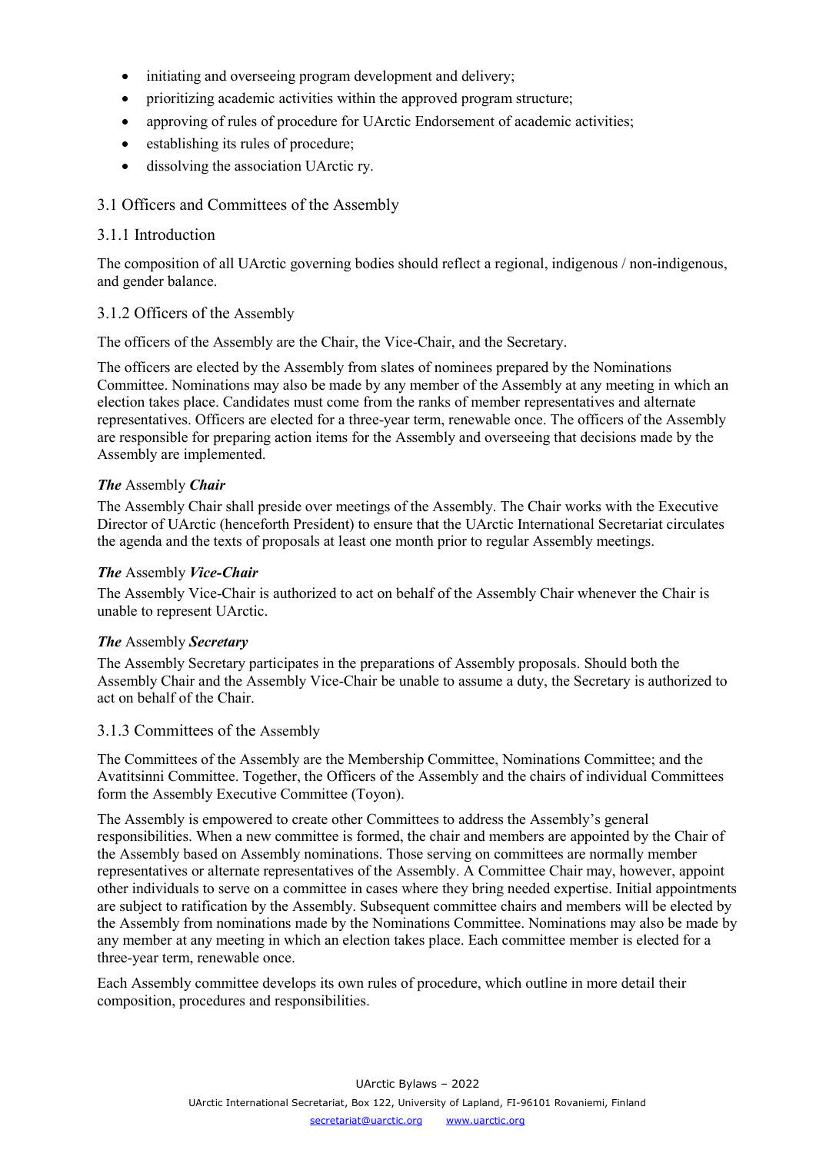- initiating and overseeing program development and delivery;
- prioritizing academic activities within the approved program structure;
- approving of rules of procedure for UArctic Endorsement of academic activities;
- establishing its rules of procedure;
- dissolving the association UArctic ry.

# <span id="page-7-0"></span>3.1 Officers and Committees of the Assembly

# 3.1.1 Introduction

The composition of all UArctic governing bodies should reflect a regional, indigenous / non-indigenous, and gender balance.

#### 3.1.2 Officers of the Assembly

The officers of the Assembly are the Chair, the Vice-Chair, and the Secretary.

The officers are elected by the Assembly from slates of nominees prepared by the Nominations Committee. Nominations may also be made by any member of the Assembly at any meeting in which an election takes place. Candidates must come from the ranks of member representatives and alternate representatives. Officers are elected for a three-year term, renewable once. The officers of the Assembly are responsible for preparing action items for the Assembly and overseeing that decisions made by the Assembly are implemented.

# *The* Assembly *Chair*

The Assembly Chair shall preside over meetings of the Assembly. The Chair works with the Executive Director of UArctic (henceforth President) to ensure that the UArctic International Secretariat circulates the agenda and the texts of proposals at least one month prior to regular Assembly meetings.

#### *The* Assembly *Vice-Chair*

The Assembly Vice-Chair is authorized to act on behalf of the Assembly Chair whenever the Chair is unable to represent UArctic.

#### *The* Assembly *Secretary*

The Assembly Secretary participates in the preparations of Assembly proposals. Should both the Assembly Chair and the Assembly Vice-Chair be unable to assume a duty, the Secretary is authorized to act on behalf of the Chair.

#### 3.1.3 Committees of the Assembly

The Committees of the Assembly are the Membership Committee, Nominations Committee; and the Avatitsinni Committee. Together, the Officers of the Assembly and the chairs of individual Committees form the Assembly Executive Committee (Toyon).

The Assembly is empowered to create other Committees to address the Assembly's general responsibilities. When a new committee is formed, the chair and members are appointed by the Chair of the Assembly based on Assembly nominations. Those serving on committees are normally member representatives or alternate representatives of the Assembly. A Committee Chair may, however, appoint other individuals to serve on a committee in cases where they bring needed expertise. Initial appointments are subject to ratification by the Assembly. Subsequent committee chairs and members will be elected by the Assembly from nominations made by the Nominations Committee. Nominations may also be made by any member at any meeting in which an election takes place. Each committee member is elected for a three-year term, renewable once.

Each Assembly committee develops its own rules of procedure, which outline in more detail their composition, procedures and responsibilities.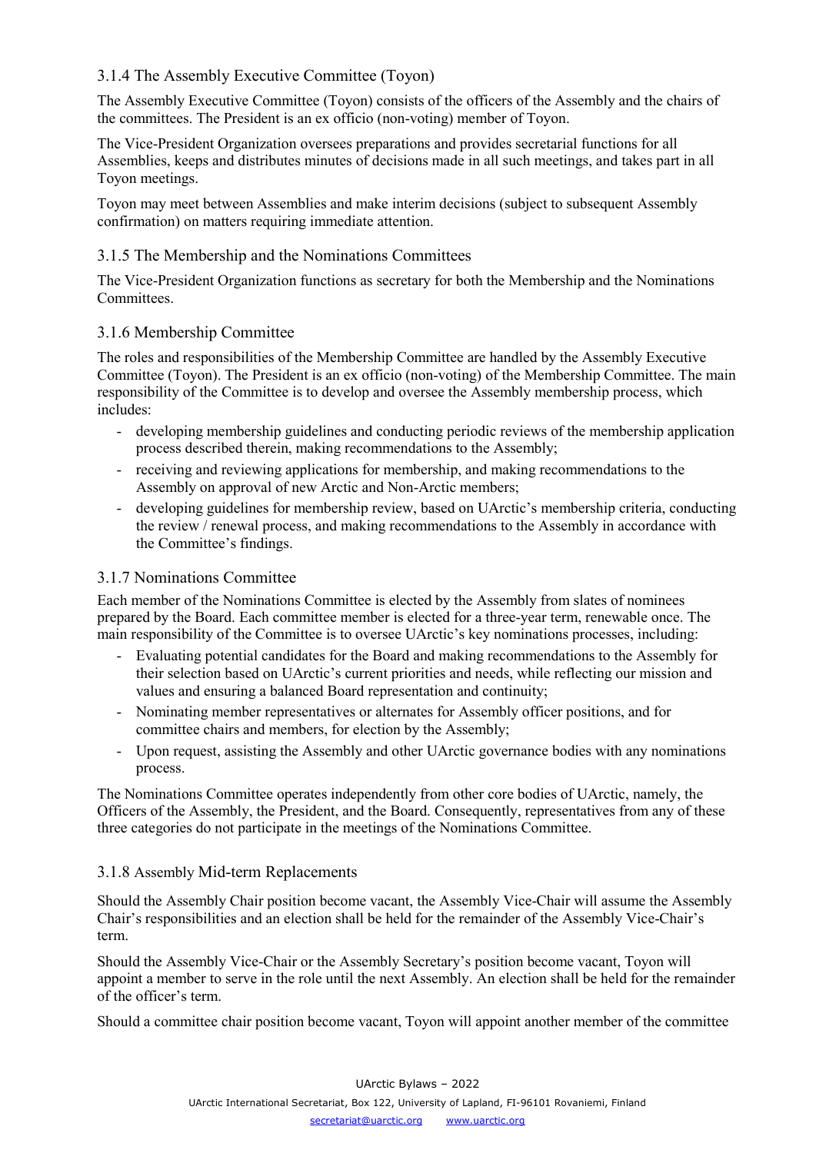# 3.1.4 The Assembly Executive Committee (Toyon)

The Assembly Executive Committee (Toyon) consists of the officers of the Assembly and the chairs of the committees. The President is an ex officio (non-voting) member of Toyon.

The Vice-President Organization oversees preparations and provides secretarial functions for all Assemblies, keeps and distributes minutes of decisions made in all such meetings, and takes part in all Toyon meetings.

Toyon may meet between Assemblies and make interim decisions (subject to subsequent Assembly confirmation) on matters requiring immediate attention.

# 3.1.5 The Membership and the Nominations Committees

The Vice-President Organization functions as secretary for both the Membership and the Nominations Committees.

# 3.1.6 Membership Committee

The roles and responsibilities of the Membership Committee are handled by the Assembly Executive Committee (Toyon). The President is an ex officio (non-voting) of the Membership Committee. The main responsibility of the Committee is to develop and oversee the Assembly membership process, which includes:

- developing membership guidelines and conducting periodic reviews of the membership application process described therein, making recommendations to the Assembly;
- receiving and reviewing applications for membership, and making recommendations to the Assembly on approval of new Arctic and Non-Arctic members;
- developing guidelines for membership review, based on UArctic's membership criteria, conducting the review / renewal process, and making recommendations to the Assembly in accordance with the Committee's findings.

# 3.1.7 Nominations Committee

Each member of the Nominations Committee is elected by the Assembly from slates of nominees prepared by the Board. Each committee member is elected for a three-year term, renewable once. The main responsibility of the Committee is to oversee UArctic's key nominations processes, including:

- Evaluating potential candidates for the Board and making recommendations to the Assembly for their selection based on UArctic's current priorities and needs, while reflecting our mission and values and ensuring a balanced Board representation and continuity;
- Nominating member representatives or alternates for Assembly officer positions, and for committee chairs and members, for election by the Assembly;
- Upon request, assisting the Assembly and other UArctic governance bodies with any nominations process.

The Nominations Committee operates independently from other core bodies of UArctic, namely, the Officers of the Assembly, the President, and the Board. Consequently, representatives from any of these three categories do not participate in the meetings of the Nominations Committee.

# 3.1.8 Assembly Mid-term Replacements

Should the Assembly Chair position become vacant, the Assembly Vice-Chair will assume the Assembly Chair's responsibilities and an election shall be held for the remainder of the Assembly Vice-Chair's term.

Should the Assembly Vice-Chair or the Assembly Secretary's position become vacant, Toyon will appoint a member to serve in the role until the next Assembly. An election shall be held for the remainder of the officer's term.

Should a committee chair position become vacant, Toyon will appoint another member of the committee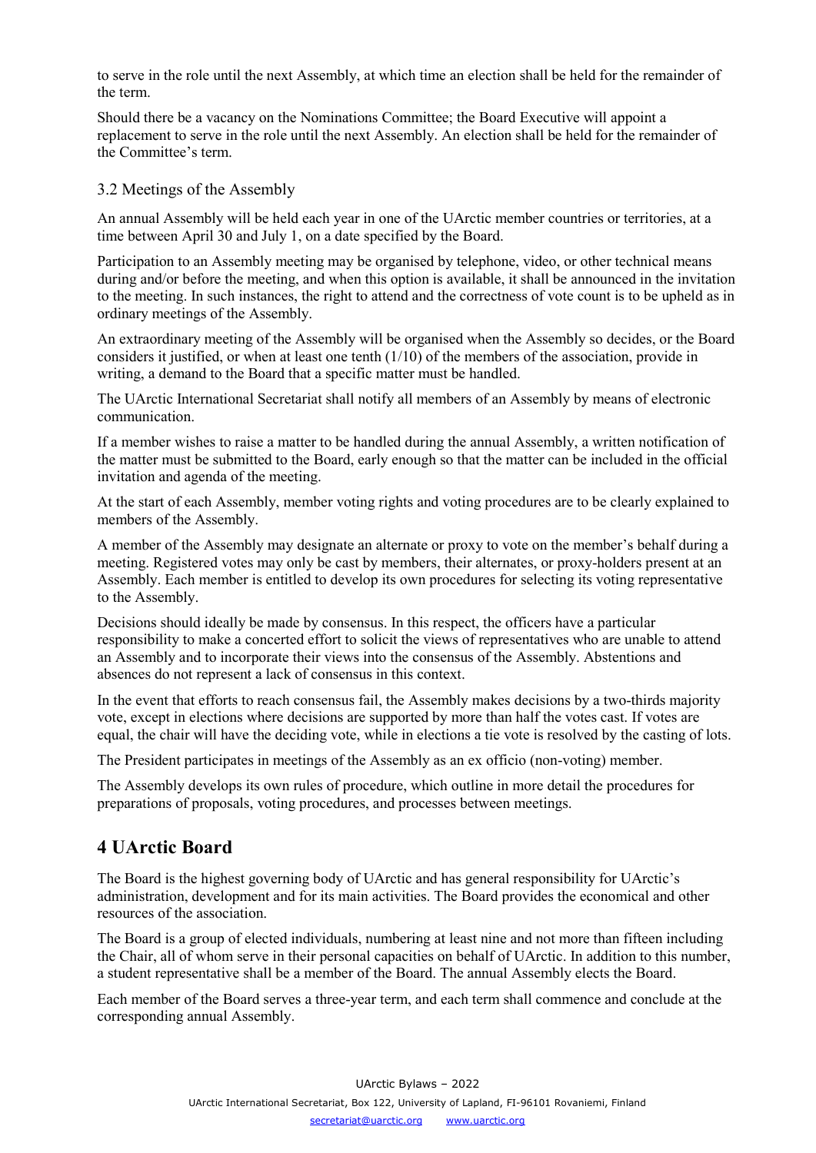to serve in the role until the next Assembly, at which time an election shall be held for the remainder of the term.

Should there be a vacancy on the Nominations Committee; the Board Executive will appoint a replacement to serve in the role until the next Assembly. An election shall be held for the remainder of the Committee's term.

#### <span id="page-9-0"></span>3.2 Meetings of the Assembly

An annual Assembly will be held each year in one of the UArctic member countries or territories, at a time between April 30 and July 1, on a date specified by the Board.

Participation to an Assembly meeting may be organised by telephone, video, or other technical means during and/or before the meeting, and when this option is available, it shall be announced in the invitation to the meeting. In such instances, the right to attend and the correctness of vote count is to be upheld as in ordinary meetings of the Assembly.

An extraordinary meeting of the Assembly will be organised when the Assembly so decides, or the Board considers it justified, or when at least one tenth  $(1/10)$  of the members of the association, provide in writing, a demand to the Board that a specific matter must be handled.

The UArctic International Secretariat shall notify all members of an Assembly by means of electronic communication.

If a member wishes to raise a matter to be handled during the annual Assembly, a written notification of the matter must be submitted to the Board, early enough so that the matter can be included in the official invitation and agenda of the meeting.

At the start of each Assembly, member voting rights and voting procedures are to be clearly explained to members of the Assembly.

A member of the Assembly may designate an alternate or proxy to vote on the member's behalf during a meeting. Registered votes may only be cast by members, their alternates, or proxy-holders present at an Assembly. Each member is entitled to develop its own procedures for selecting its voting representative to the Assembly.

Decisions should ideally be made by consensus. In this respect, the officers have a particular responsibility to make a concerted effort to solicit the views of representatives who are unable to attend an Assembly and to incorporate their views into the consensus of the Assembly. Abstentions and absences do not represent a lack of consensus in this context.

In the event that efforts to reach consensus fail, the Assembly makes decisions by a two-thirds majority vote, except in elections where decisions are supported by more than half the votes cast. If votes are equal, the chair will have the deciding vote, while in elections a tie vote is resolved by the casting of lots.

The President participates in meetings of the Assembly as an ex officio (non-voting) member.

The Assembly develops its own rules of procedure, which outline in more detail the procedures for preparations of proposals, voting procedures, and processes between meetings.

# <span id="page-9-1"></span>**4 UArctic Board**

The Board is the highest governing body of UArctic and has general responsibility for UArctic's administration, development and for its main activities. The Board provides the economical and other resources of the association.

The Board is a group of elected individuals, numbering at least nine and not more than fifteen including the Chair, all of whom serve in their personal capacities on behalf of UArctic. In addition to this number, a student representative shall be a member of the Board. The annual Assembly elects the Board.

Each member of the Board serves a three-year term, and each term shall commence and conclude at the corresponding annual Assembly.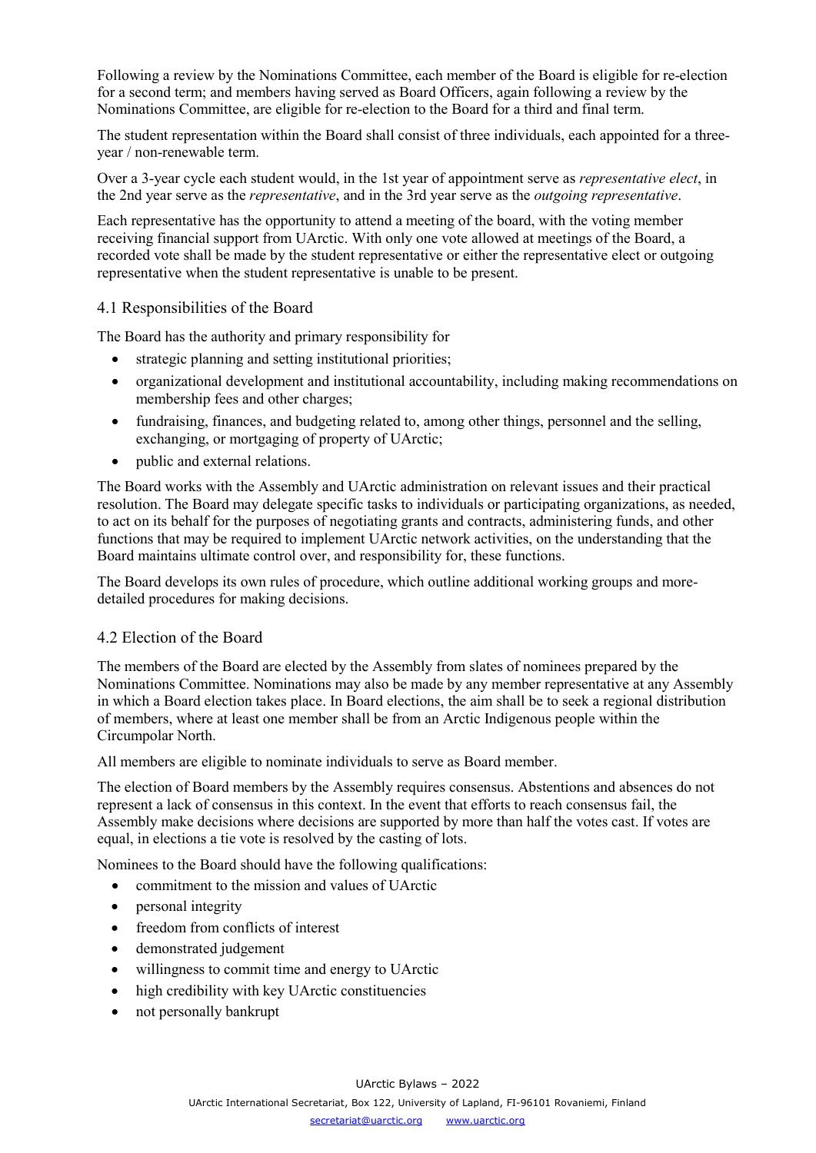Following a review by the Nominations Committee, each member of the Board is eligible for re-election for a second term; and members having served as Board Officers, again following a review by the Nominations Committee, are eligible for re-election to the Board for a third and final term.

The student representation within the Board shall consist of three individuals, each appointed for a threeyear / non-renewable term.

Over a 3-year cycle each student would, in the 1st year of appointment serve as *representative elect*, in the 2nd year serve as the *representative*, and in the 3rd year serve as the *outgoing representative*.

Each representative has the opportunity to attend a meeting of the board, with the voting member receiving financial support from UArctic. With only one vote allowed at meetings of the Board, a recorded vote shall be made by the student representative or either the representative elect or outgoing representative when the student representative is unable to be present.

# <span id="page-10-0"></span>4.1 Responsibilities of the Board

The Board has the authority and primary responsibility for

- strategic planning and setting institutional priorities;
- organizational development and institutional accountability, including making recommendations on membership fees and other charges;
- fundraising, finances, and budgeting related to, among other things, personnel and the selling, exchanging, or mortgaging of property of UArctic;
- public and external relations.

The Board works with the Assembly and UArctic administration on relevant issues and their practical resolution. The Board may delegate specific tasks to individuals or participating organizations, as needed, to act on its behalf for the purposes of negotiating grants and contracts, administering funds, and other functions that may be required to implement UArctic network activities, on the understanding that the Board maintains ultimate control over, and responsibility for, these functions.

The Board develops its own rules of procedure, which outline additional working groups and moredetailed procedures for making decisions.

#### <span id="page-10-1"></span>4.2 Election of the Board

The members of the Board are elected by the Assembly from slates of nominees prepared by the Nominations Committee. Nominations may also be made by any member representative at any Assembly in which a Board election takes place. In Board elections, the aim shall be to seek a regional distribution of members, where at least one member shall be from an Arctic Indigenous people within the Circumpolar North.

All members are eligible to nominate individuals to serve as Board member.

The election of Board members by the Assembly requires consensus. Abstentions and absences do not represent a lack of consensus in this context. In the event that efforts to reach consensus fail, the Assembly make decisions where decisions are supported by more than half the votes cast. If votes are equal, in elections a tie vote is resolved by the casting of lots.

Nominees to the Board should have the following qualifications:

- commitment to the mission and values of UArctic
- personal integrity
- freedom from conflicts of interest
- demonstrated judgement
- willingness to commit time and energy to UArctic
- high credibility with key UArctic constituencies
- not personally bankrupt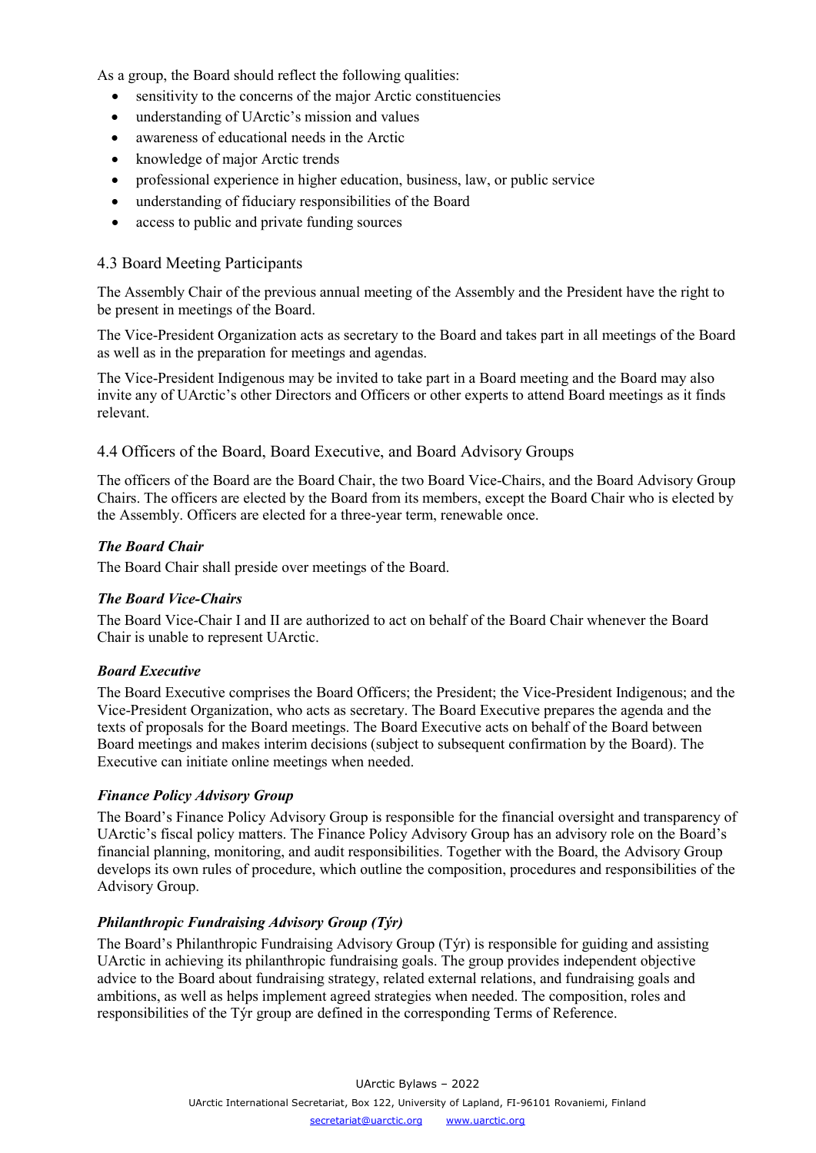As a group, the Board should reflect the following qualities:

- sensitivity to the concerns of the major Arctic constituencies
- understanding of UArctic's mission and values
- awareness of educational needs in the Arctic
- knowledge of major Arctic trends
- professional experience in higher education, business, law, or public service
- understanding of fiduciary responsibilities of the Board
- access to public and private funding sources

# <span id="page-11-0"></span>4.3 Board Meeting Participants

The Assembly Chair of the previous annual meeting of the Assembly and the President have the right to be present in meetings of the Board.

The Vice-President Organization acts as secretary to the Board and takes part in all meetings of the Board as well as in the preparation for meetings and agendas.

The Vice-President Indigenous may be invited to take part in a Board meeting and the Board may also invite any of UArctic's other Directors and Officers or other experts to attend Board meetings as it finds relevant.

#### <span id="page-11-1"></span>4.4 Officers of the Board, Board Executive, and Board Advisory Groups

The officers of the Board are the Board Chair, the two Board Vice-Chairs, and the Board Advisory Group Chairs. The officers are elected by the Board from its members, except the Board Chair who is elected by the Assembly. Officers are elected for a three-year term, renewable once.

#### *The Board Chair*

The Board Chair shall preside over meetings of the Board.

# *The Board Vice-Chairs*

The Board Vice-Chair I and II are authorized to act on behalf of the Board Chair whenever the Board Chair is unable to represent UArctic.

# *Board Executive*

The Board Executive comprises the Board Officers; the President; the Vice-President Indigenous; and the Vice-President Organization, who acts as secretary. The Board Executive prepares the agenda and the texts of proposals for the Board meetings. The Board Executive acts on behalf of the Board between Board meetings and makes interim decisions (subject to subsequent confirmation by the Board). The Executive can initiate online meetings when needed.

# *Finance Policy Advisory Group*

The Board's Finance Policy Advisory Group is responsible for the financial oversight and transparency of UArctic's fiscal policy matters. The Finance Policy Advisory Group has an advisory role on the Board's financial planning, monitoring, and audit responsibilities. Together with the Board, the Advisory Group develops its own rules of procedure, which outline the composition, procedures and responsibilities of the Advisory Group.

# <span id="page-11-2"></span>*Philanthropic Fundraising Advisory Group (Týr)*

The Board's Philanthropic Fundraising Advisory Group (Týr) is responsible for guiding and assisting UArctic in achieving its philanthropic fundraising goals. The group provides independent objective advice to the Board about fundraising strategy, related external relations, and fundraising goals and ambitions, as well as helps implement agreed strategies when needed. The composition, roles and responsibilities of the Týr group are defined in the corresponding Terms of Reference.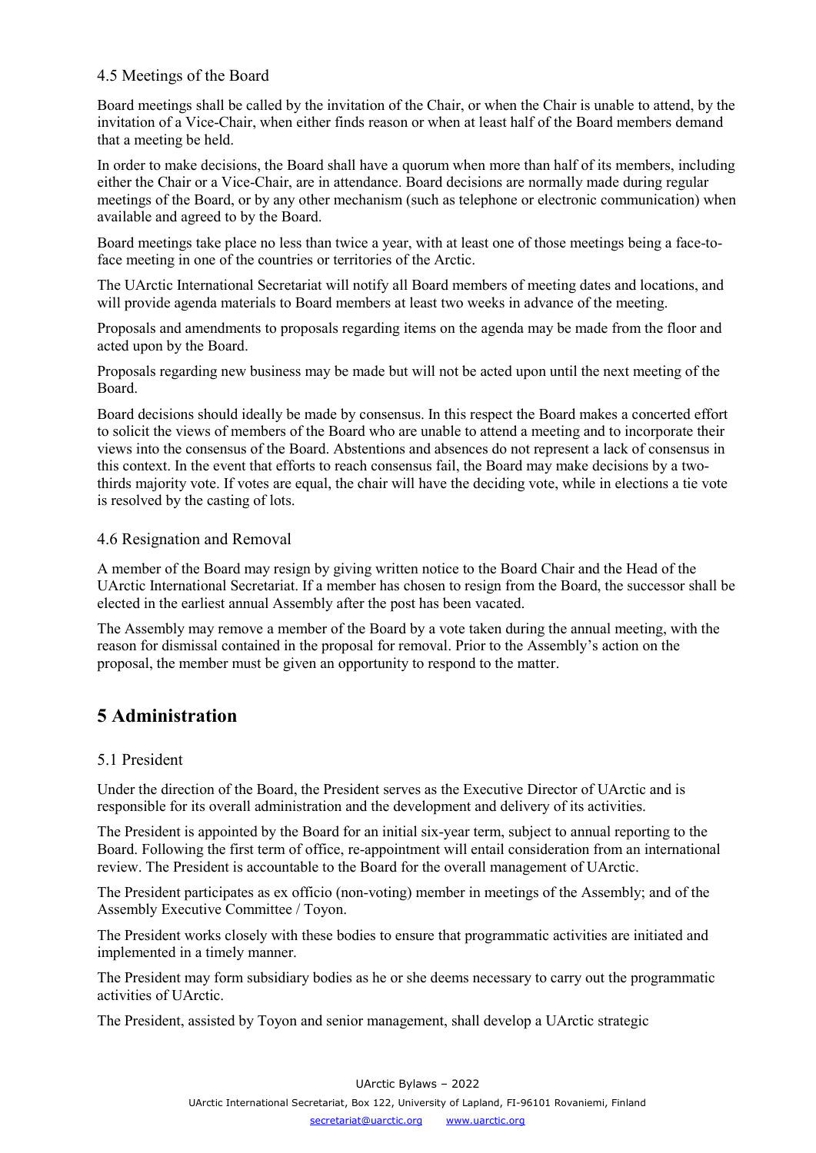# 4.5 Meetings of the Board

Board meetings shall be called by the invitation of the Chair, or when the Chair is unable to attend, by the invitation of a Vice-Chair, when either finds reason or when at least half of the Board members demand that a meeting be held.

In order to make decisions, the Board shall have a quorum when more than half of its members, including either the Chair or a Vice-Chair, are in attendance. Board decisions are normally made during regular meetings of the Board, or by any other mechanism (such as telephone or electronic communication) when available and agreed to by the Board.

Board meetings take place no less than twice a year, with at least one of those meetings being a face-toface meeting in one of the countries or territories of the Arctic.

The UArctic International Secretariat will notify all Board members of meeting dates and locations, and will provide agenda materials to Board members at least two weeks in advance of the meeting.

Proposals and amendments to proposals regarding items on the agenda may be made from the floor and acted upon by the Board.

Proposals regarding new business may be made but will not be acted upon until the next meeting of the Board.

Board decisions should ideally be made by consensus. In this respect the Board makes a concerted effort to solicit the views of members of the Board who are unable to attend a meeting and to incorporate their views into the consensus of the Board. Abstentions and absences do not represent a lack of consensus in this context. In the event that efforts to reach consensus fail, the Board may make decisions by a twothirds majority vote. If votes are equal, the chair will have the deciding vote, while in elections a tie vote is resolved by the casting of lots.

#### <span id="page-12-0"></span>4.6 Resignation and Removal

A member of the Board may resign by giving written notice to the Board Chair and the Head of the UArctic International Secretariat. If a member has chosen to resign from the Board, the successor shall be elected in the earliest annual Assembly after the post has been vacated.

The Assembly may remove a member of the Board by a vote taken during the annual meeting, with the reason for dismissal contained in the proposal for removal. Prior to the Assembly's action on the proposal, the member must be given an opportunity to respond to the matter.

# <span id="page-12-1"></span>**5 Administration**

# <span id="page-12-2"></span>5.1 President

Under the direction of the Board, the President serves as the Executive Director of UArctic and is responsible for its overall administration and the development and delivery of its activities.

The President is appointed by the Board for an initial six-year term, subject to annual reporting to the Board. Following the first term of office, re-appointment will entail consideration from an international review. The President is accountable to the Board for the overall management of UArctic.

The President participates as ex officio (non-voting) member in meetings of the Assembly; and of the Assembly Executive Committee / Toyon.

The President works closely with these bodies to ensure that programmatic activities are initiated and implemented in a timely manner.

The President may form subsidiary bodies as he or she deems necessary to carry out the programmatic activities of UArctic.

The President, assisted by Toyon and senior management, shall develop a UArctic strategic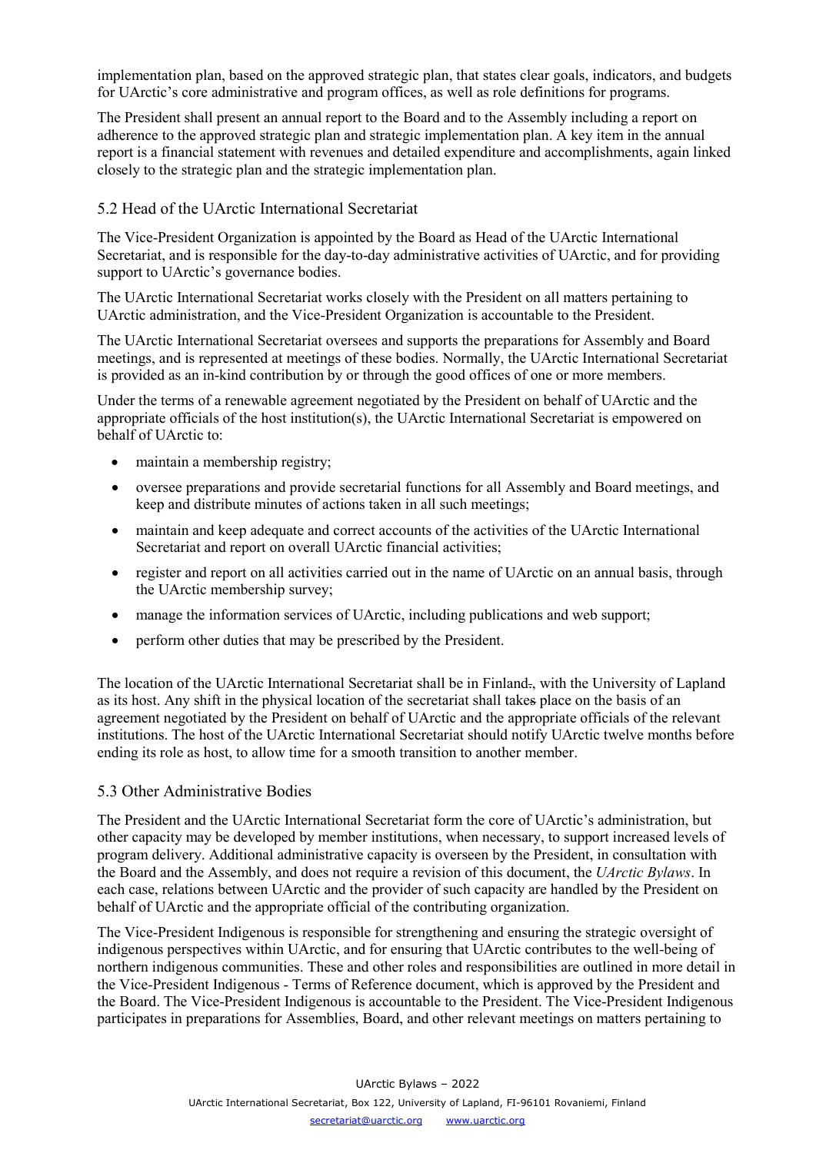implementation plan, based on the approved strategic plan, that states clear goals, indicators, and budgets for UArctic's core administrative and program offices, as well as role definitions for programs.

The President shall present an annual report to the Board and to the Assembly including a report on adherence to the approved strategic plan and strategic implementation plan. A key item in the annual report is a financial statement with revenues and detailed expenditure and accomplishments, again linked closely to the strategic plan and the strategic implementation plan.

#### <span id="page-13-0"></span>5.2 Head of the UArctic International Secretariat

The Vice-President Organization is appointed by the Board as Head of the UArctic International Secretariat, and is responsible for the day-to-day administrative activities of UArctic, and for providing support to UArctic's governance bodies.

The UArctic International Secretariat works closely with the President on all matters pertaining to UArctic administration, and the Vice-President Organization is accountable to the President.

The UArctic International Secretariat oversees and supports the preparations for Assembly and Board meetings, and is represented at meetings of these bodies. Normally, the UArctic International Secretariat is provided as an in-kind contribution by or through the good offices of one or more members.

Under the terms of a renewable agreement negotiated by the President on behalf of UArctic and the appropriate officials of the host institution(s), the UArctic International Secretariat is empowered on behalf of UArctic to:

- maintain a membership registry;
- oversee preparations and provide secretarial functions for all Assembly and Board meetings, and keep and distribute minutes of actions taken in all such meetings;
- maintain and keep adequate and correct accounts of the activities of the UArctic International Secretariat and report on overall UArctic financial activities;
- register and report on all activities carried out in the name of UArctic on an annual basis, through the UArctic membership survey;
- manage the information services of UArctic, including publications and web support;
- perform other duties that may be prescribed by the President.

The location of the UArctic International Secretariat shall be in Finland., with the University of Lapland as its host. Any shift in the physical location of the secretariat shall takes place on the basis of an agreement negotiated by the President on behalf of UArctic and the appropriate officials of the relevant institutions. The host of the UArctic International Secretariat should notify UArctic twelve months before ending its role as host, to allow time for a smooth transition to another member.

# <span id="page-13-1"></span>5.3 Other Administrative Bodies

The President and the UArctic International Secretariat form the core of UArctic's administration, but other capacity may be developed by member institutions, when necessary, to support increased levels of program delivery. Additional administrative capacity is overseen by the President, in consultation with the Board and the Assembly, and does not require a revision of this document, the *UArctic Bylaws*. In each case, relations between UArctic and the provider of such capacity are handled by the President on behalf of UArctic and the appropriate official of the contributing organization.

The Vice-President Indigenous is responsible for strengthening and ensuring the strategic oversight of indigenous perspectives within UArctic, and for ensuring that UArctic contributes to the well-being of northern indigenous communities. These and other roles and responsibilities are outlined in more detail in the Vice-President Indigenous - Terms of Reference document, which is approved by the President and the Board. The Vice-President Indigenous is accountable to the President. The Vice-President Indigenous participates in preparations for Assemblies, Board, and other relevant meetings on matters pertaining to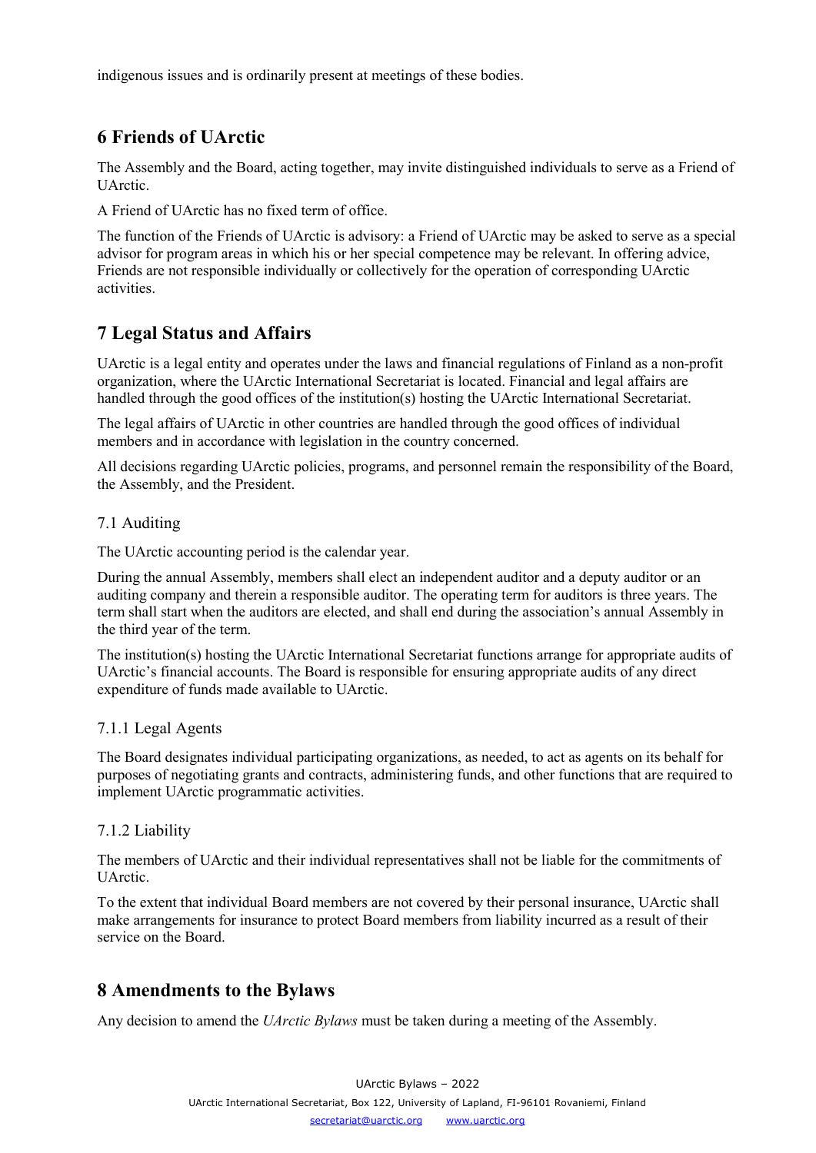indigenous issues and is ordinarily present at meetings of these bodies.

# <span id="page-14-0"></span>**6 Friends of UArctic**

The Assembly and the Board, acting together, may invite distinguished individuals to serve as a Friend of UArctic.

A Friend of UArctic has no fixed term of office.

The function of the Friends of UArctic is advisory: a Friend of UArctic may be asked to serve as a special advisor for program areas in which his or her special competence may be relevant. In offering advice, Friends are not responsible individually or collectively for the operation of corresponding UArctic activities.

# <span id="page-14-1"></span>**7 Legal Status and Affairs**

UArctic is a legal entity and operates under the laws and financial regulations of Finland as a non-profit organization, where the UArctic International Secretariat is located. Financial and legal affairs are handled through the good offices of the institution(s) hosting the UArctic International Secretariat.

The legal affairs of UArctic in other countries are handled through the good offices of individual members and in accordance with legislation in the country concerned.

All decisions regarding UArctic policies, programs, and personnel remain the responsibility of the Board, the Assembly, and the President.

# <span id="page-14-2"></span>7.1 Auditing

The UArctic accounting period is the calendar year.

During the annual Assembly, members shall elect an independent auditor and a deputy auditor or an auditing company and therein a responsible auditor. The operating term for auditors is three years. The term shall start when the auditors are elected, and shall end during the association's annual Assembly in the third year of the term.

The institution(s) hosting the UArctic International Secretariat functions arrange for appropriate audits of UArctic's financial accounts. The Board is responsible for ensuring appropriate audits of any direct expenditure of funds made available to UArctic.

# <span id="page-14-3"></span>7.1.1 Legal Agents

The Board designates individual participating organizations, as needed, to act as agents on its behalf for purposes of negotiating grants and contracts, administering funds, and other functions that are required to implement UArctic programmatic activities.

# <span id="page-14-4"></span>7.1.2 Liability

The members of UArctic and their individual representatives shall not be liable for the commitments of UArctic.

To the extent that individual Board members are not covered by their personal insurance, UArctic shall make arrangements for insurance to protect Board members from liability incurred as a result of their service on the Board.

# <span id="page-14-5"></span>**8 Amendments to the Bylaws**

Any decision to amend the *UArctic Bylaws* must be taken during a meeting of the Assembly.

UArctic Bylaws – 2022 UArctic International Secretariat, Box 122, University of Lapland, FI-96101 Rovaniemi, Finland [secretariat@uarctic.org](mailto:secretariat@uarctic.org) [www.uarctic.org](http://www.uarctic.org/)